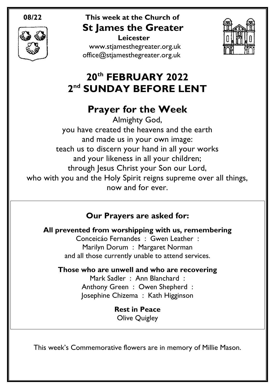

#### **08/22 This week at the Church of St James the Greater Leicester**

[www.stjamesthegreater.org.uk](http://www.stjamesthegreater.org.uk/) [office@stjamesthegreater.org.uk](mailto:office@stjamesthegreater.org.uk)



# **20th FEBRUARY 2022 2 nd SUNDAY BEFORE LENT**

## **Prayer for the Week**

Almighty God, you have created the heavens and the earth and made us in your own image: teach us to discern your hand in all your works and your likeness in all your children; through Jesus Christ your Son our Lord, who with you and the Holy Spirit reigns supreme over all things, now and for ever.

## **Our Prayers are asked for:**

**All prevented from worshipping with us, remembering**

Conceicáo Fernandes : Gwen Leather : Marilyn Dorum : Margaret Norman and all those currently unable to attend services.

### **Those who are unwell and who are recovering**

Mark Sadler : Ann Blanchard : Anthony Green : Owen Shepherd : Josephine Chizema : Kath Higginson

> **Rest in Peace** Olive Quigley

This week's Commemorative flowers are in memory of Millie Mason.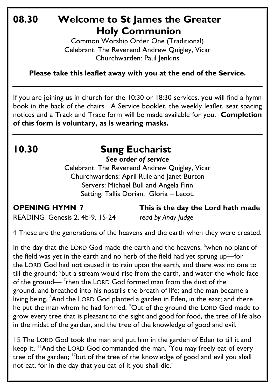## **08.30 Welcome to St James the Greater Holy Communion**

Common Worship Order One (Traditional) Celebrant: The Reverend Andrew Quigley, Vicar Churchwarden: Paul Jenkins

**Please take this leaflet away with you at the end of the Service.**

If you are joining us in church for the 10:30 or 18:30 services, you will find a hymn book in the back of the chairs. A Service booklet, the weekly leaflet, seat spacing notices and a Track and Trace form will be made available for you. **Completion of this form is voluntary, as is wearing masks.**

# **10.30 Sung Eucharist**

*See order of service*

Celebrant: The Reverend Andrew Quigley, Vicar Churchwardens: April Rule and Janet Burton Servers: Michael Bull and Angela Finn Setting: Tallis Dorian. Gloria – Lecot*.*

**OPENING HYMN 7 This is the day the Lord hath made**

READING Genesis 2. 4b-9, 15-24 *read by Andy Judge*

4 These are the generations of the heavens and the earth when they were created.

In the day that the LORD God made the earth and the heavens, <sup>5</sup>when no plant of the field was yet in the earth and no herb of the field had yet sprung up—for the LORD God had not caused it to rain upon the earth, and there was no one to till the ground;  $^6$ but a stream would rise from the earth, and water the whole face of the ground—  $^{7}$ then the LORD God formed man from the dust of the ground, and breathed into his nostrils the breath of life; and the man became a living being. <sup>8</sup>And the LORD God planted a garden in Eden, in the east; and there he put the man whom he had formed. <sup>9</sup>Out of the ground the LORD God made to grow every tree that is pleasant to the sight and good for food, the tree of life also in the midst of the garden, and the tree of the knowledge of good and evil.

15 The LORD God took the man and put him in the garden of Eden to till it and keep it. <sup>16</sup>And the LORD God commanded the man, 'You may freely eat of every tree of the garden;  $17$  but of the tree of the knowledge of good and evil you shall not eat, for in the day that you eat of it you shall die.'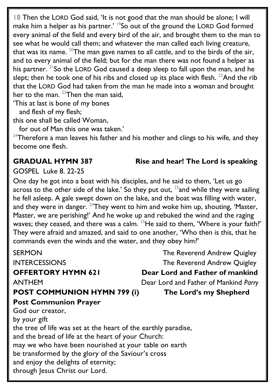18 Then the LORD God said, 'It is not good that the man should be alone; I will make him a helper as his partner.' <sup>19</sup>So out of the ground the LORD God formed every animal of the field and every bird of the air, and brought them to the man to see what he would call them; and whatever the man called each living creature, that was its name.  $20$ The man gave names to all cattle, and to the birds of the air, and to every animal of the field; but for the man there was not found a helper as his partner. <sup>21</sup>So the LORD God caused a deep sleep to fall upon the man, and he slept; then he took one of his ribs and closed up its place with flesh.  $^{22}$ And the rib that the LORD God had taken from the man he made into a woman and brought her to the man.  $23$ Then the man said,

'This at last is bone of my bones

and flesh of my flesh;

this one shall be called Woman,

for out of Man this one was taken.'

 $24$ Therefore a man leaves his father and his mother and clings to his wife, and they become one flesh.

#### **GRADUAL HYMN 387 Rise and hear! The Lord is speaking**

GOSPEL Luke 8. 22-25

One day he got into a boat with his disciples, and he said to them, 'Let us go across to the other side of the lake.' So they put out,  $^{23}$  and while they were sailing he fell asleep. A gale swept down on the lake, and the boat was filling with water, and they were in danger.  $24$ They went to him and woke him up, shouting, 'Master, Master, we are perishing!' And he woke up and rebuked the wind and the raging waves; they ceased, and there was a calm.  $25$ He said to them, 'Where is your faith?' They were afraid and amazed, and said to one another, 'Who then is this, that he commands even the winds and the water, and they obey him?'

SERMON GERMON The Reverend Andrew Quigley INTERCESSIONS The Reverend Andrew Quigley **OFFERTORY HYMN 621 Dear Lord and Father of mankind**  ANTHEMDear Lord and Father of Mankind *Parry* **POST COMMUNION HYMN 799 (i) The Lord's my Shepherd Post Communion Prayer**  God our creator, by your gift the tree of life was set at the heart of the earthly paradise, and the bread of life at the heart of your Church: may we who have been nourished at your table on earth be transformed by the glory of the Saviour's cross and enjoy the delights of eternity; through Jesus Christ our Lord.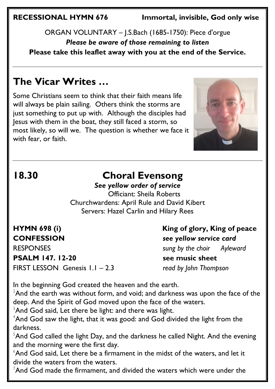**RECESSIONAL HYMN 676 Immortal, invisible, God only wise** 

ORGAN VOLUNTARY – J.S.Bach (1685-1750): Piece d'orgue *Please be aware of those remaining to listen* **Please take this leaflet away with you at the end of the Service.** 

## **The Vicar Writes …**

Some Christians seem to think that their faith means life will always be plain sailing. Others think the storms are just something to put up with. Although the disciples had Jesus with them in the boat, they still faced a storm, so most likely, so will we. The question is whether we face it with fear, or faith.



## **18.30 Choral Evensong**

*See yellow order of service* Officiant: Sheila Roberts Churchwardens: April Rule and David Kibert Servers: Hazel Carlin and Hilary Rees

**PSALM 147. 12-20 see music sheet** FIRST LESSON Genesis 1.1 – 2.3 *read by John Thompson*

HYMN 698 (i) **King of glory, King of peace CONFESSION** *see yellow service card* RESPONSES *sung by the choir Ayleward*

In the beginning God created the heaven and the earth.

 $2$ And the earth was without form, and void; and darkness was upon the face of the deep. And the Spirit of God moved upon the face of the waters.

 $3$ And God said, Let there be light: and there was light.

 $4$ And God saw the light, that it was good: and God divided the light from the darkness.

 $5$ And God called the light Day, and the darkness he called Night. And the evening and the morning were the first day.

 $6$ And God said, Let there be a firmament in the midst of the waters, and let it divide the waters from the waters.

 $7$ And God made the firmament, and divided the waters which were under the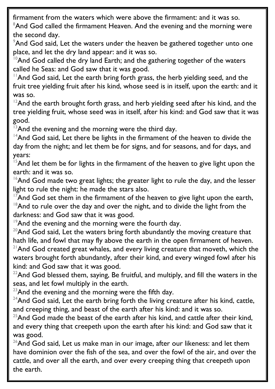firmament from the waters which were above the firmament: and it was so. <sup>8</sup>And God called the firmament Heaven. And the evening and the morning were the second day.

<sup>9</sup>And God said, Let the waters under the heaven be gathered together unto one place, and let the dry land appear: and it was so.

 $10$ And God called the dry land Earth; and the gathering together of the waters called he Seas: and God saw that it was good.

 $11$ And God said, Let the earth bring forth grass, the herb yielding seed, and the fruit tree yielding fruit after his kind, whose seed is in itself, upon the earth: and it was so.

 $12$ And the earth brought forth grass, and herb yielding seed after his kind, and the tree yielding fruit, whose seed was in itself, after his kind: and God saw that it was good.

 $13$ And the evening and the morning were the third day.

 $14$ And God said, Let there be lights in the firmament of the heaven to divide the day from the night; and let them be for signs, and for seasons, and for days, and years:

 $15$ And let them be for lights in the firmament of the heaven to give light upon the earth: and it was so.

 $16$ And God made two great lights; the greater light to rule the day, and the lesser light to rule the night: he made the stars also.

<sup>17</sup>And God set them in the firmament of the heaven to give light upon the earth,  $18$ And to rule over the day and over the night, and to divide the light from the darkness: and God saw that it was good.

<sup>19</sup>And the evening and the morning were the fourth day.

 $20$ And God said, Let the waters bring forth abundantly the moving creature that hath life, and fowl that may fly above the earth in the open firmament of heaven.  $21$ And God created great whales, and every living creature that moveth, which the waters brought forth abundantly, after their kind, and every winged fowl after his kind: and God saw that it was good.

 $22$ And God blessed them, saying, Be fruitful, and multiply, and fill the waters in the seas, and let fowl multiply in the earth.

 $23$ And the evening and the morning were the fifth day.

 $24$ And God said, Let the earth bring forth the living creature after his kind, cattle, and creeping thing, and beast of the earth after his kind: and it was so.

 $25$ And God made the beast of the earth after his kind, and cattle after their kind, and every thing that creepeth upon the earth after his kind: and God saw that it was good.

 $26$ And God said, Let us make man in our image, after our likeness: and let them have dominion over the fish of the sea, and over the fowl of the air, and over the cattle, and over all the earth, and over every creeping thing that creepeth upon the earth.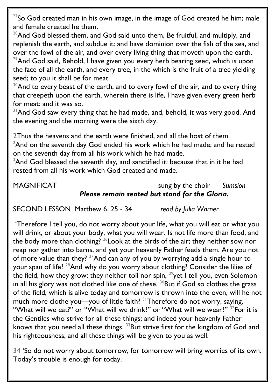$27$ So God created man in his own image, in the image of God created he him; male and female created he them.

 $28$ And God blessed them, and God said unto them, Be fruitful, and multiply, and replenish the earth, and subdue it: and have dominion over the fish of the sea, and over the fowl of the air, and over every living thing that moveth upon the earth.  $29$ And God said, Behold, I have given you every herb bearing seed, which is upon the face of all the earth, and every tree, in the which is the fruit of a tree yielding seed; to you it shall be for meat.

 $30$ And to every beast of the earth, and to every fowl of the air, and to every thing that creepeth upon the earth, wherein there is life, I have given every green herb for meat: and it was so.

<sup>31</sup> And God saw every thing that he had made, and, behold, it was very good. And the evening and the morning were the sixth day.

2Thus the heavens and the earth were finished, and all the host of them.  $2$ And on the seventh day God ended his work which he had made; and he rested on the seventh day from all his work which he had made.

 $3$ And God blessed the seventh day, and sanctified it: because that in it he had rested from all his work which God created and made.

### MAGNIFICAT sung by the choir *Sumsion Please remain seated but stand for the Gloria.*

SECOND LESSON Matthew 6. 25 - 34 *read by Julia Warner*

'Therefore I tell you, do not worry about your life, what you will eat or what you will drink, or about your body, what you will wear. Is not life more than food, and the body more than clothing?  $^{26}$  Look at the birds of the air; they neither sow nor reap nor gather into barns, and yet your heavenly Father feeds them. Are you not of more value than they?  $27$ And can any of you by worrying add a single hour to your span of life?  $^{28}$ And why do you worry about clothing? Consider the lilies of the field, how they grow; they neither toil nor spin,  $29$  yet I tell you, even Solomon in all his glory was not clothed like one of these.  $30$ But if God so clothes the grass of the field, which is alive today and tomorrow is thrown into the oven, will he not much more clothe you—you of little faith?  $31$ Therefore do not worry, saying, "What will we eat?" or "What will we drink?" or "What will we wear?" <sup>32</sup>For it is the Gentiles who strive for all these things; and indeed your heavenly Father knows that you need all these things.  $^{33}$ But strive first for the kingdom of God and his righteousness, and all these things will be given to you as well.

34 'So do not worry about tomorrow, for tomorrow will bring worries of its own. Today's trouble is enough for today.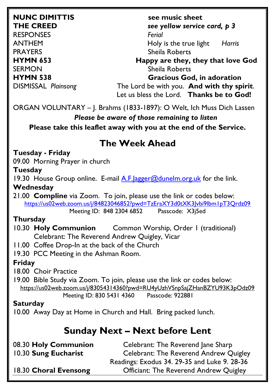RESPONSES *Ferial*

**NUNC DIMITTIS see music sheet THE CREED** *see yellow service card, p 3* ANTHEM Holy is the true light *Harris* PRAYERS Sheila Roberts **HYMN** 653 **Happy are they, they that love God** SERMON SERMON Sheila Roberts **HYMN 538 Gracious God, in adoration**  DISMISSAL *Plainsong* The Lord be with you. **And with thy spirit**. Let us bless the Lord. **Thanks be to God!**

ORGAN VOLUNTARY – J. Brahms (1833-1897): O Welt, Ich Muss Dich Lassen

#### *Please be aware of those remaining to listen*

**Please take this leaflet away with you at the end of the Service.** 

## **The Week Ahead**

#### **Tuesday - Friday**

09.00 Morning Prayer in church

#### **Tuesday**

19.30 House Group online. E-mail A.F. lagger@dunelm.org.uk for the link. **Wednesday**

21.00 **Compline** via Zoom. To join, please use the link or codes below: <https://us02web.zoom.us/j/84823046852?pwd=TzEraXY3d0tXK3Jvbi9lbm1pT3Qrdz09>

Meeting ID: 848 2304 6852 Passcode: X3j5ed

### **Thursday**

10.30 **Holy Communion** Common Worship, Order 1 (traditional) Celebrant: The Reverend Andrew Quigley, Vicar

11.00 Coffee Drop-In at the back of the Church

19.30 PCC Meeting in the Ashman Room.

### **Friday**

18.00 Choir Practice

19.00 Bible Study via Zoom. To join, please use the link or codes below: <https://us02web.zoom.us/j/83054314360?pwd=RU4yUzhVSnpSajZHanBZYU93K3pOdz09> Meeting ID: 830 5431 4360 Passcode: 922881

### **Saturday**

10.00 Away Day at Home in Church and Hall. Bring packed lunch.

## **Sunday Next – Next before Lent**

| Celebrant: The Reverend Jane Sharp            |
|-----------------------------------------------|
| <b>Celebrant: The Reverend Andrew Quigley</b> |
| Readings: Exodus 34. 29-35 and Luke 9. 28-36  |
| <b>Officiant: The Reverend Andrew Quigley</b> |
|                                               |